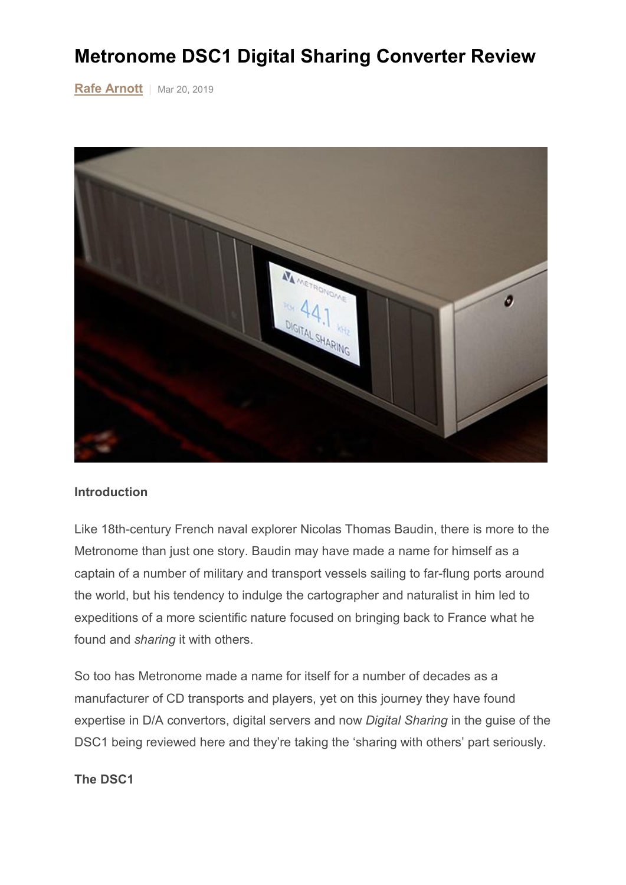# **Metronome DSC1 Digital Sharing Converter Review**

**[Rafe Arnott](https://www.audiostream.com/writer/65374)** | Mar 20, 2019



#### **Introduction**

Like 18th-century French naval explorer Nicolas Thomas Baudin, there is more to the Metronome than just one story. Baudin may have made a name for himself as a captain of a number of military and transport vessels sailing to far-flung ports around the world, but his tendency to indulge the cartographer and naturalist in him led to expeditions of a more scientific nature focused on bringing back to France what he found and *sharing* it with others.

So too has Metronome made a name for itself for a number of decades as a manufacturer of CD transports and players, yet on this journey they have found expertise in D/A convertors, digital servers and now *Digital Sharing* in the guise of the DSC1 being reviewed here and they're taking the 'sharing with others' part seriously.

**The DSC1**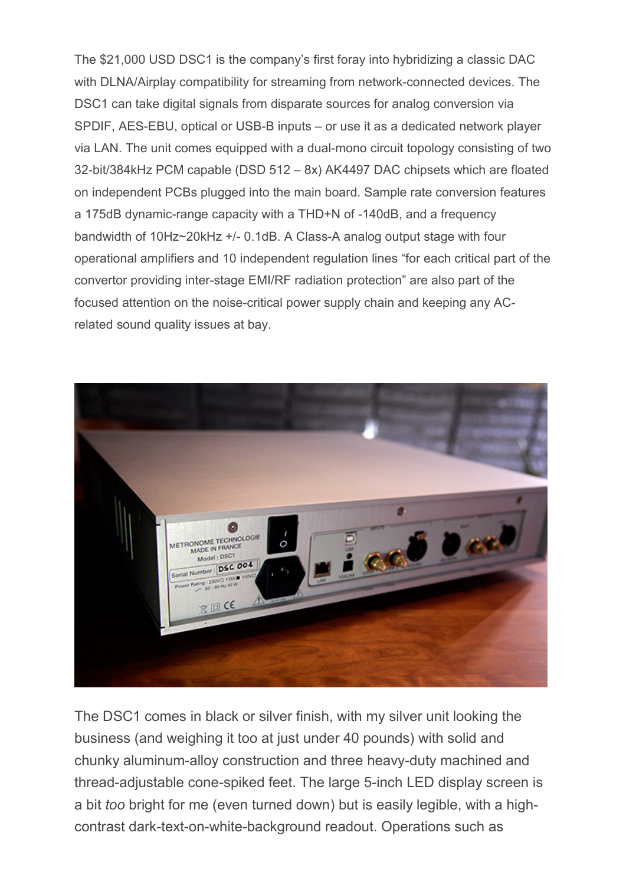The \$21,000 USD DSC1 is the company's first foray into hybridizing a classic DAC with DLNA/Airplay compatibility for streaming from network-connected devices. The DSC1 can take digital signals from disparate sources for analog conversion via SPDIF, AES-EBU, optical or USB-B inputs – or use it as a dedicated network player via LAN. The unit comes equipped with a dual-mono circuit topology consisting of two 32-bit/384kHz PCM capable (DSD 512 – 8x) AK4497 DAC chipsets which are floated on independent PCBs plugged into the main board. Sample rate conversion features a 175dB dynamic-range capacity with a THD+N of -140dB, and a frequency bandwidth of 10Hz~20kHz +/- 0.1dB. A Class-A analog output stage with four operational amplifiers and 10 independent regulation lines "for each critical part of the convertor providing inter-stage EMI/RF radiation protection" are also part of the focused attention on the noise-critical power supply chain and keeping any ACrelated sound quality issues at bay.



The DSC1 comes in black or silver finish, with my silver unit looking the business (and weighing it too at just under 40 pounds) with solid and chunky aluminum-alloy construction and three heavy-duty machined and thread-adjustable cone-spiked feet. The large 5-inch LED display screen is a bit *too* bright for me (even turned down) but is easily legible, with a highcontrast dark-text-on-white-background readout. Operations such as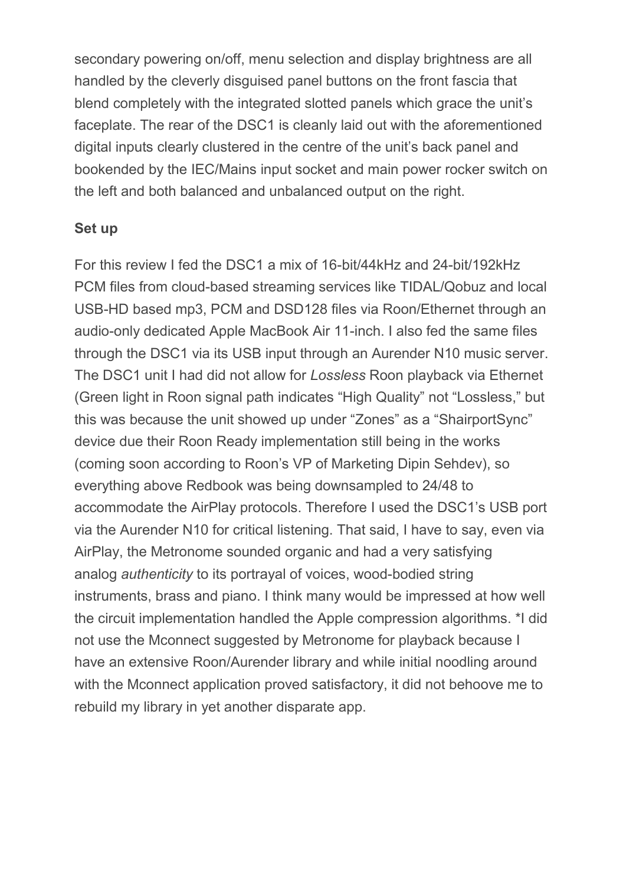secondary powering on/off, menu selection and display brightness are all handled by the cleverly disguised panel buttons on the front fascia that blend completely with the integrated slotted panels which grace the unit's faceplate. The rear of the DSC1 is cleanly laid out with the aforementioned digital inputs clearly clustered in the centre of the unit's back panel and bookended by the IEC/Mains input socket and main power rocker switch on the left and both balanced and unbalanced output on the right.

#### **Set up**

For this review I fed the DSC1 a mix of 16-bit/44kHz and 24-bit/192kHz PCM files from cloud-based streaming services like TIDAL/Qobuz and local USB-HD based mp3, PCM and DSD128 files via Roon/Ethernet through an audio-only dedicated Apple MacBook Air 11-inch. I also fed the same files through the DSC1 via its USB input through an Aurender N10 music server. The DSC1 unit I had did not allow for *Lossless* Roon playback via Ethernet (Green light in Roon signal path indicates "High Quality" not "Lossless," but this was because the unit showed up under "Zones" as a "ShairportSync" device due their Roon Ready implementation still being in the works (coming soon according to Roon's VP of Marketing Dipin Sehdev), so everything above Redbook was being downsampled to 24/48 to accommodate the AirPlay protocols. Therefore I used the DSC1's USB port via the Aurender N10 for critical listening. That said, I have to say, even via AirPlay, the Metronome sounded organic and had a very satisfying analog *authenticity* to its portrayal of voices, wood-bodied string instruments, brass and piano. I think many would be impressed at how well the circuit implementation handled the Apple compression algorithms. \*I did not use the Mconnect suggested by Metronome for playback because I have an extensive Roon/Aurender library and while initial noodling around with the Mconnect application proved satisfactory, it did not behoove me to rebuild my library in yet another disparate app.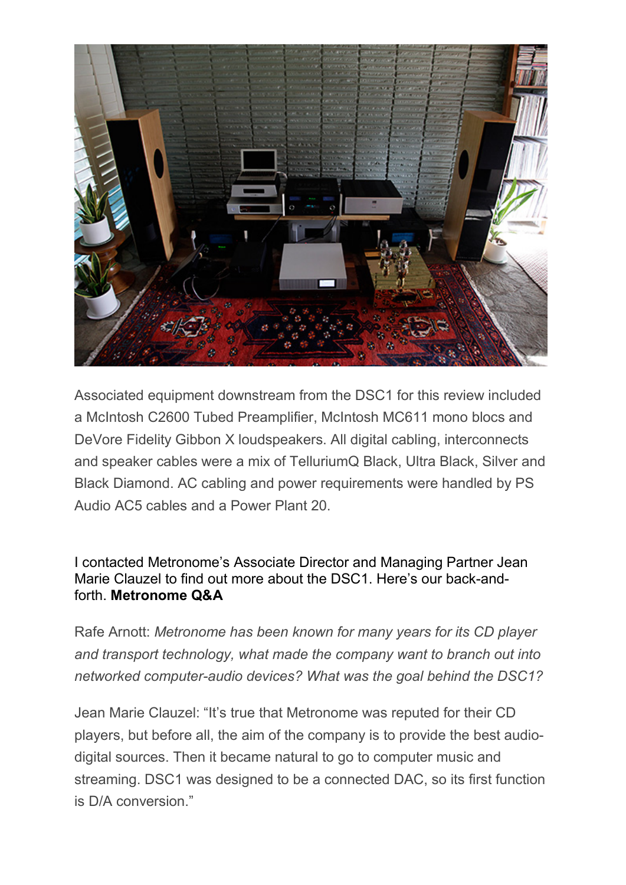

Associated equipment downstream from the DSC1 for this review included a McIntosh C2600 Tubed Preamplifier, McIntosh MC611 mono blocs and DeVore Fidelity Gibbon X loudspeakers. All digital cabling, interconnects and speaker cables were a mix of TelluriumQ Black, Ultra Black, Silver and Black Diamond. AC cabling and power requirements were handled by PS Audio AC5 cables and a Power Plant 20.

### I contacted Metronome's Associate Director and Managing Partner Jean Marie Clauzel to find out more about the DSC1. Here's our back-andforth. **Metronome Q&A**

Rafe Arnott: *Metronome has been known for many years for its CD player and transport technology, what made the company want to branch out into networked computer-audio devices? What was the goal behind the DSC1?*

Jean Marie Clauzel: "It's true that Metronome was reputed for their CD players, but before all, the aim of the company is to provide the best audiodigital sources. Then it became natural to go to computer music and streaming. DSC1 was designed to be a connected DAC, so its first function is D/A conversion."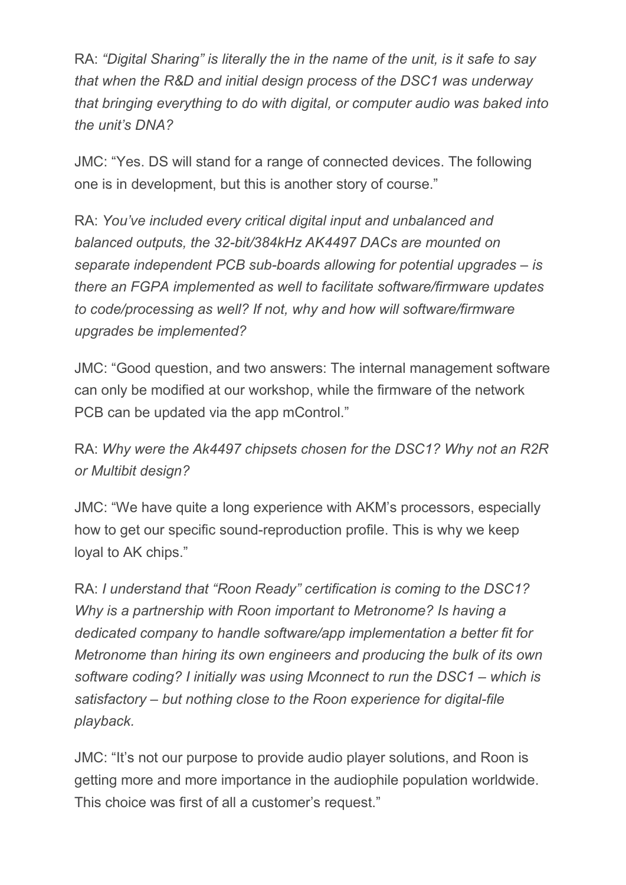RA: *"Digital Sharing" is literally the in the name of the unit, is it safe to say that when the R&D and initial design process of the DSC1 was underway that bringing everything to do with digital, or computer audio was baked into the unit's DNA?*

JMC: "Yes. DS will stand for a range of connected devices. The following one is in development, but this is another story of course."

RA: *You've included every critical digital input and unbalanced and balanced outputs, the 32-bit/384kHz AK4497 DACs are mounted on separate independent PCB sub-boards allowing for potential upgrades – is there an FGPA implemented as well to facilitate software/firmware updates to code/processing as well? If not, why and how will software/firmware upgrades be implemented?*

JMC: "Good question, and two answers: The internal management software can only be modified at our workshop, while the firmware of the network PCB can be updated via the app mControl."

RA: *Why were the Ak4497 chipsets chosen for the DSC1? Why not an R2R or Multibit design?*

JMC: "We have quite a long experience with AKM's processors, especially how to get our specific sound-reproduction profile. This is why we keep loyal to AK chips."

RA: *I understand that "Roon Ready" certification is coming to the DSC1? Why is a partnership with Roon important to Metronome? Is having a dedicated company to handle software/app implementation a better fit for Metronome than hiring its own engineers and producing the bulk of its own software coding? I initially was using Mconnect to run the DSC1 – which is satisfactory – but nothing close to the Roon experience for digital-file playback.*

JMC: "It's not our purpose to provide audio player solutions, and Roon is getting more and more importance in the audiophile population worldwide. This choice was first of all a customer's request."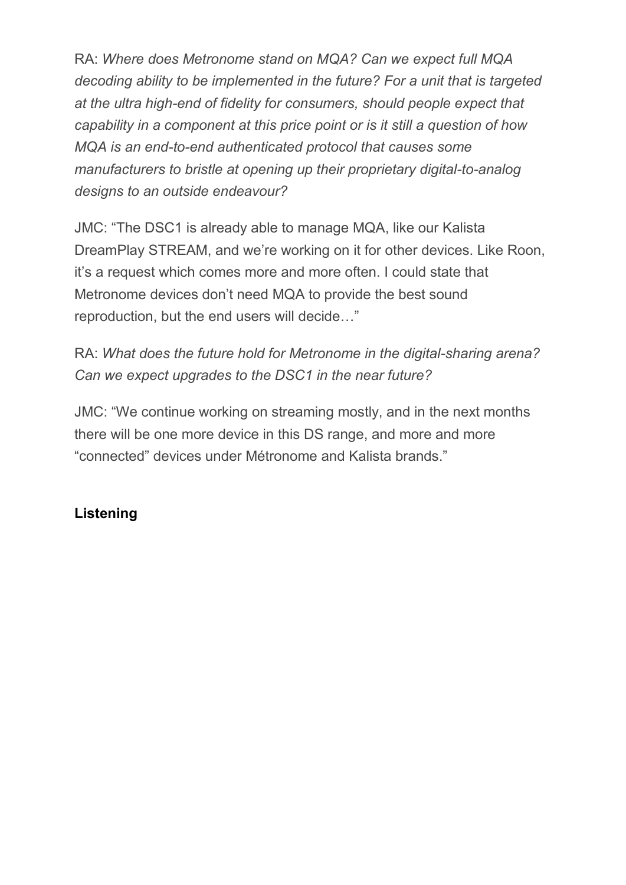RA: *Where does Metronome stand on MQA? Can we expect full MQA decoding ability to be implemented in the future? For a unit that is targeted at the ultra high-end of fidelity for consumers, should people expect that capability in a component at this price point or is it still a question of how MQA is an end-to-end authenticated protocol that causes some manufacturers to bristle at opening up their proprietary digital-to-analog designs to an outside endeavour?*

JMC: "The DSC1 is already able to manage MQA, like our Kalista DreamPlay STREAM, and we're working on it for other devices. Like Roon, it's a request which comes more and more often. I could state that Metronome devices don't need MQA to provide the best sound reproduction, but the end users will decide…"

RA: *What does the future hold for Metronome in the digital-sharing arena? Can we expect upgrades to the DSC1 in the near future?*

JMC: "We continue working on streaming mostly, and in the next months there will be one more device in this DS range, and more and more "connected" devices under Métronome and Kalista brands."

# **Listening**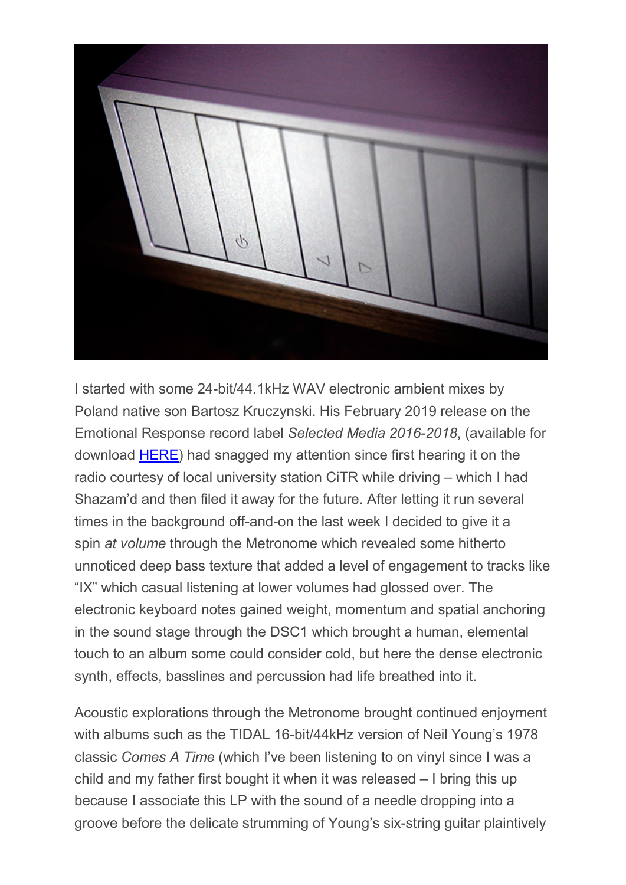

I started with some 24-bit/44.1kHz WAV electronic ambient mixes by Poland native son Bartosz Kruczynski. His February 2019 release on the Emotional Response record label *Selected Media 2016-2018*, (available for download [HERE\)](https://bartoszkruczynski.bandcamp.com/album/selected-media-2016-2018) had snagged my attention since first hearing it on the radio courtesy of local university station CiTR while driving – which I had Shazam'd and then filed it away for the future. After letting it run several times in the background off-and-on the last week I decided to give it a spin *at volume* through the Metronome which revealed some hitherto unnoticed deep bass texture that added a level of engagement to tracks like "IX" which casual listening at lower volumes had glossed over. The electronic keyboard notes gained weight, momentum and spatial anchoring in the sound stage through the DSC1 which brought a human, elemental touch to an album some could consider cold, but here the dense electronic synth, effects, basslines and percussion had life breathed into it.

Acoustic explorations through the Metronome brought continued enjoyment with albums such as the TIDAL 16-bit/44kHz version of Neil Young's 1978 classic *Comes A Time* (which I've been listening to on vinyl since I was a child and my father first bought it when it was released – I bring this up because I associate this LP with the sound of a needle dropping into a groove before the delicate strumming of Young's six-string guitar plaintively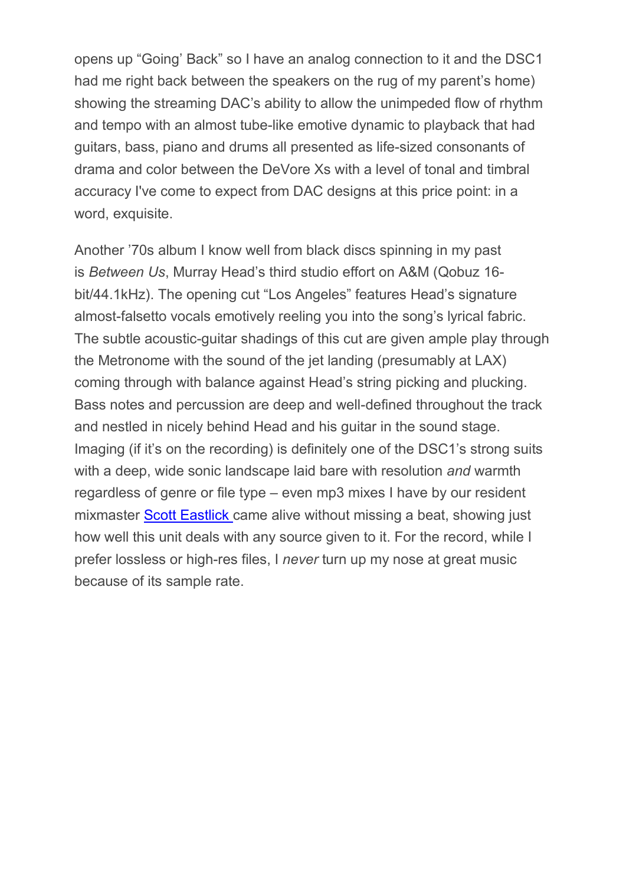opens up "Going' Back" so I have an analog connection to it and the DSC1 had me right back between the speakers on the rug of my parent's home) showing the streaming DAC's ability to allow the unimpeded flow of rhythm and tempo with an almost tube-like emotive dynamic to playback that had guitars, bass, piano and drums all presented as life-sized consonants of drama and color between the DeVore Xs with a level of tonal and timbral accuracy I've come to expect from DAC designs at this price point: in a word, exquisite.

Another '70s album I know well from black discs spinning in my past is *Between Us*, Murray Head's third studio effort on A&M (Qobuz 16 bit/44.1kHz). The opening cut "Los Angeles" features Head's signature almost-falsetto vocals emotively reeling you into the song's lyrical fabric. The subtle acoustic-guitar shadings of this cut are given ample play through the Metronome with the sound of the jet landing (presumably at LAX) coming through with balance against Head's string picking and plucking. Bass notes and percussion are deep and well-defined throughout the track and nestled in nicely behind Head and his guitar in the sound stage. Imaging (if it's on the recording) is definitely one of the DSC1's strong suits with a deep, wide sonic landscape laid bare with resolution *and* warmth regardless of genre or file type – even mp3 mixes I have by our resident mixmaster [Scott Eastlick](http://www.electricadolescence.com/) came alive without missing a beat, showing just how well this unit deals with any source given to it. For the record, while I prefer lossless or high-res files, I *never* turn up my nose at great music because of its sample rate.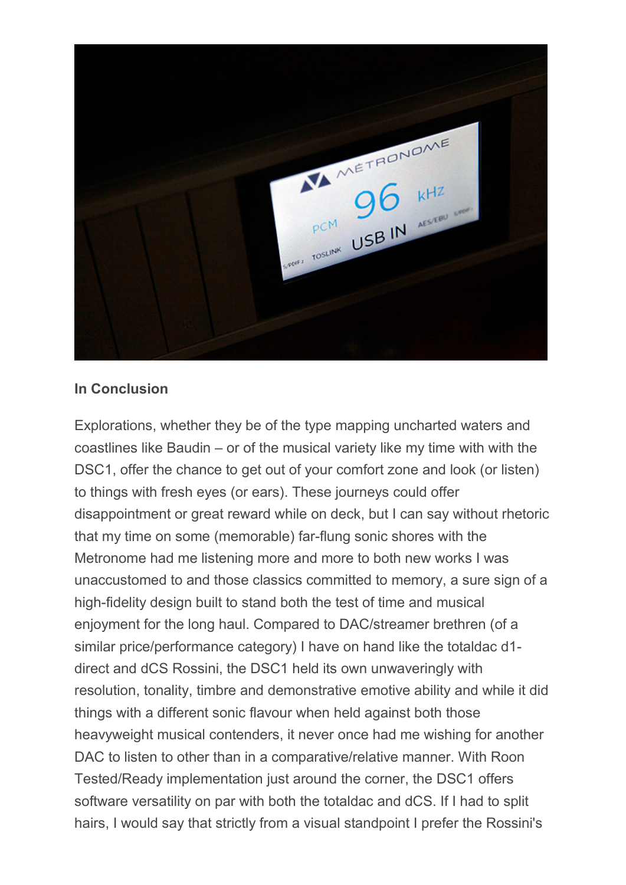

### **In Conclusion**

Explorations, whether they be of the type mapping uncharted waters and coastlines like Baudin – or of the musical variety like my time with with the DSC1, offer the chance to get out of your comfort zone and look (or listen) to things with fresh eyes (or ears). These journeys could offer disappointment or great reward while on deck, but I can say without rhetoric that my time on some (memorable) far-flung sonic shores with the Metronome had me listening more and more to both new works I was unaccustomed to and those classics committed to memory, a sure sign of a high-fidelity design built to stand both the test of time and musical enjoyment for the long haul. Compared to DAC/streamer brethren (of a similar price/performance category) I have on hand like the totaldac d1 direct and dCS Rossini, the DSC1 held its own unwaveringly with resolution, tonality, timbre and demonstrative emotive ability and while it did things with a different sonic flavour when held against both those heavyweight musical contenders, it never once had me wishing for another DAC to listen to other than in a comparative/relative manner. With Roon Tested/Ready implementation just around the corner, the DSC1 offers software versatility on par with both the totaldac and dCS. If I had to split hairs, I would say that strictly from a visual standpoint I prefer the Rossini's